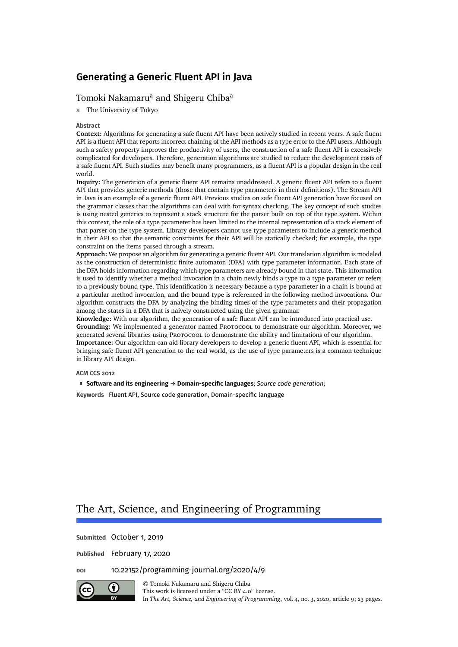# [Tomoki Nakamaru](#page-22-0)<sup>a</sup> and [Shigeru Chiba](#page-22-1)<sup>a</sup>

a The University of Tokyo

#### **Abstract**

**Context:** Algorithms for generating a safe fluent API have been actively studied in recent years. A safe fluent API is a fluent API that reports incorrect chaining of the API methods as a type error to the API users. Although such a safety property improves the productivity of users, the construction of a safe fluent API is excessively complicated for developers. Therefore, generation algorithms are studied to reduce the development costs of a safe fluent API. Such studies may benefit many programmers, as a fluent API is a popular design in the real world.

**Inquiry:** The generation of a generic fluent API remains unaddressed. A generic fluent API refers to a fluent API that provides generic methods (those that contain type parameters in their definitions). The Stream API in Java is an example of a generic fluent API. Previous studies on safe fluent API generation have focused on the grammar classes that the algorithms can deal with for syntax checking. The key concept of such studies is using nested generics to represent a stack structure for the parser built on top of the type system. Within this context, the role of a type parameter has been limited to the internal representation of a stack element of that parser on the type system. Library developers cannot use type parameters to include a generic method in their API so that the semantic constraints for their API will be statically checked; for example, the type constraint on the items passed through a stream.

**Approach:** We propose an algorithm for generating a generic fluent API. Our translation algorithm is modeled as the construction of deterministic finite automaton (DFA) with type parameter information. Each state of the DFA holds information regarding which type parameters are already bound in that state. This information is used to identify whether a method invocation in a chain newly binds a type to a type parameter or refers to a previously bound type. This identification is necessary because a type parameter in a chain is bound at a particular method invocation, and the bound type is referenced in the following method invocations. Our algorithm constructs the DFA by analyzing the binding times of the type parameters and their propagation among the states in a DFA that is naively constructed using the given grammar.

**Knowledge:** With our algorithm, the generation of a safe fluent API can be introduced into practical use. Grounding: We implemented a generator named Prorocool to demonstrate our algorithm. Moreover, we generated several libraries using Protocool to demonstrate the ability and limitations of our algorithm. **Importance:** Our algorithm can aid library developers to develop a generic fluent API, which is essential for bringing safe fluent API generation to the real world, as the use of type parameters is a common technique in library API design.

#### **ACM CCS 2012**

**Software and its engineering** → **Domain-specific languages**; *Source code generation*;

**Keywords** Fluent API, Source code generation, Domain-specific language

# The Art, Science, and Engineering of Programming

**Submitted** October 1, 2019

**Published** February 17, 2020

#### **doi** [10.22152/programming-journal.org/2020/4/9](https://doi.org/10.22152/programming-journal.org/2020/4/9)



© [Tomoki Nakamaru](#page-22-0) and [Shigeru Chiba](#page-22-1) This work is licensed undera ["CC BY 4.0"](https://creativecommons.org/licenses/by/4.0/deed.en) license.

In *The Art, Science, and Engineering of Programming*, vol. 4, no. 3, 2020, article9; [23](#page-22-2) pages.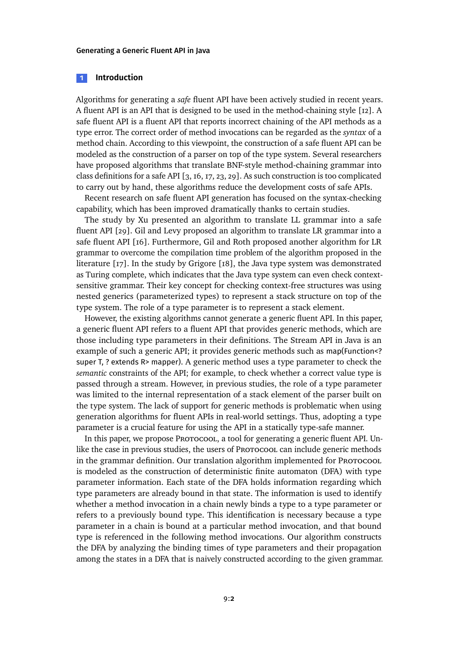#### **1 Introduction**

Algorithms for generating a *safe* fluent API have been actively studied in recent years. A fluent API is an API that is designed to be used in the method-chaining style [\[12\]](#page-19-0). A safe fluent API is a fluent API that reports incorrect chaining of the API methods as a type error. The correct order of method invocations can be regarded as the *syntax* of a method chain. According to this viewpoint, the construction of a safe fluent API can be modeled as the construction of a parser on top of the type system. Several researchers have proposed algorithms that translate BNF-style method-chaining grammar into class definitions for a safe API [\[3,](#page-19-1) [16,](#page-20-0) [17,](#page-20-1) [23,](#page-21-0) [29\]](#page-21-1). As such construction is too complicated to carry out by hand, these algorithms reduce the development costs of safe APIs.

Recent research on safe fluent API generation has focused on the syntax-checking capability, which has been improved dramatically thanks to certain studies.

The study by Xu presented an algorithm to translate LL grammar into a safe fluent API [\[29\]](#page-21-1). Gil and Levy proposed an algorithm to translate LR grammar into a safe fluent API [\[16\]](#page-20-0). Furthermore, Gil and Roth proposed another algorithm for LR grammar to overcome the compilation time problem of the algorithm proposed in the literature [\[17\]](#page-20-1). In the study by Grigore [\[18\]](#page-20-2), the Java type system was demonstrated as Turing complete, which indicates that the Java type system can even check contextsensitive grammar. Their key concept for checking context-free structures was using nested generics (parameterized types) to represent a stack structure on top of the type system. The role of a type parameter is to represent a stack element.

However, the existing algorithms cannot generate a generic fluent API. In this paper, a generic fluent API refers to a fluent API that provides generic methods, which are those including type parameters in their definitions. The Stream API in Java is an example of such a generic API; it provides generic methods such as map(Function<? super T, ? extends R> mapper). A generic method uses a type parameter to check the *semantic* constraints of the API; for example, to check whether a correct value type is passed through a stream. However, in previous studies, the role of a type parameter was limited to the internal representation of a stack element of the parser built on the type system. The lack of support for generic methods is problematic when using generation algorithms for fluent APIs in real-world settings. Thus, adopting a type parameter is a crucial feature for using the API in a statically type-safe manner.

In this paper, we propose Protocool, a tool for generating a generic fluent API. Unlike the case in previous studies, the users of Protocool can include generic methods in the grammar definition. Our translation algorithm implemented for PROTOCOOL is modeled as the construction of deterministic finite automaton (DFA) with type parameter information. Each state of the DFA holds information regarding which type parameters are already bound in that state. The information is used to identify whether a method invocation in a chain newly binds a type to a type parameter or refers to a previously bound type. This identification is necessary because a type parameter in a chain is bound at a particular method invocation, and that bound type is referenced in the following method invocations. Our algorithm constructs the DFA by analyzing the binding times of type parameters and their propagation among the states in a DFA that is naively constructed according to the given grammar.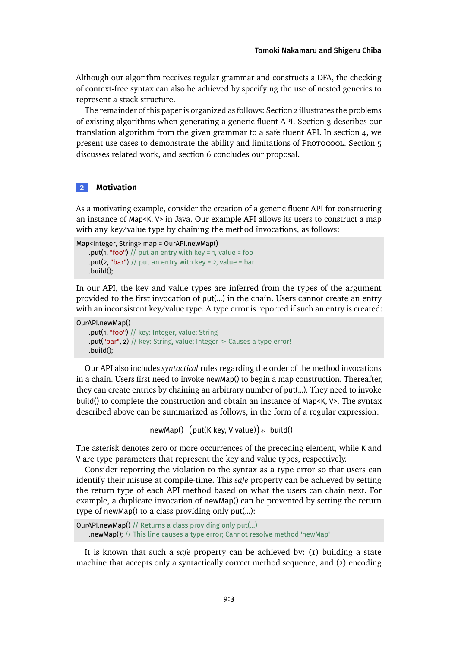Although our algorithm receives regular grammar and constructs a DFA, the checking of context-free syntax can also be achieved by specifying the use of nested generics to represent a stack structure.

The remainder of this paper is organized as follows: [Section 2](#page-2-0) illustrates the problems of existing algorithms when generating a generic fluent API. [Section 3](#page-4-0) describes our translation algorithm from the given grammar to a safe fluent API. In [section 4,](#page-11-0) we present use cases to demonstrate the ability and limitations of Protocool. [Section 5](#page-16-0) discusses related work, and [section 6](#page-18-0) concludes our proposal.

## <span id="page-2-0"></span>**2 Motivation**

As a motivating example, consider the creation of a generic fluent API for constructing an instance of Map<K, V> in Java. Our example API allows its users to construct a map with any key/value type by chaining the method invocations, as follows:

```
Map<Integer, String> map = OurAPI.newMap()
    .put(1, "foo") // put an entry with key = 1, value = foo
    .put(2, "bar") // put an entry with key = 2, value = bar
    .build();
```
In our API, the key and value types are inferred from the types of the argument provided to the first invocation of put(...) in the chain. Users cannot create an entry with an inconsistent key/value type. A type error is reported if such an entry is created:

```
OurAPI.newMap()
    .put(1, "foo") // key: Integer, value: String
    .put("bar", 2) // key: String, value: Integer <- Causes a type error!
    .build();
```
Our API also includes *syntactical* rules regarding the order of the method invocations in a chain. Users first need to invoke newMap() to begin a map construction. Thereafter, they can create entries by chaining an arbitrary number of put(...). They need to invoke build() to complete the construction and obtain an instance of Map<K, V>. The syntax described above can be summarized as follows, in the form of a regular expression:

newMap() (put(K key, V value)) \* build()

The asterisk denotes zero or more occurrences of the preceding element, while K and V are type parameters that represent the key and value types, respectively.

Consider reporting the violation to the syntax as a type error so that users can identify their misuse at compile-time. This *safe* property can be achieved by setting the return type of each API method based on what the users can chain next. For example, a duplicate invocation of newMap() can be prevented by setting the return type of newMap() to a class providing only put(...):

```
OurAPI.newMap() // Returns a class providing only put(...)
   .newMap(); // This line causes a type error; Cannot resolve method 'newMap'
```
It is known that such a *safe* property can be achieved by: (1) building a state machine that accepts only a syntactically correct method sequence, and (2) encoding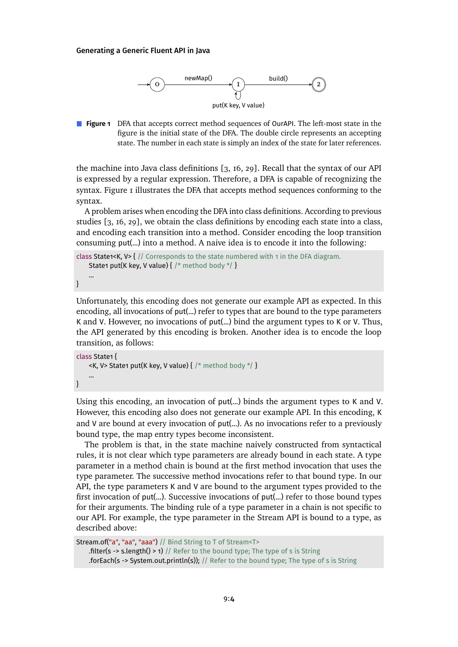<span id="page-3-0"></span>

**Figure 1** DFA that accepts correct method sequences of OurAPI. The left-most state in the figure is the initial state of the DFA. The double circle represents an accepting state. The number in each state is simply an index of the state for later references.

the machine into Java class definitions [\[3,](#page-19-1) [16,](#page-20-0) [29\]](#page-21-1). Recall that the syntax of our API is expressed by a regular expression. Therefore, a DFA is capable of recognizing the syntax. [Figure 1](#page-3-0) illustrates the DFA that accepts method sequences conforming to the syntax.

A problem arises when encoding the DFA into class definitions. According to previous studies [\[3,](#page-19-1) [16,](#page-20-0) [29\]](#page-21-1), we obtain the class definitions by encoding each state into a class, and encoding each transition into a method. Consider encoding the loop transition consuming put(...) into a method. A naive idea is to encode it into the following:

```
class State1<K, V> { // Corresponds to the state numbered with 1 in the DFA diagram.
   State1 put(K key, V value) { /* method body */ }
   ...
```
Unfortunately, this encoding does not generate our example API as expected. In this encoding, all invocations of put(...) refer to types that are bound to the type parameters K and V. However, no invocations of put(...) bind the argument types to K or V. Thus, the API generated by this encoding is broken. Another idea is to encode the loop transition, as follows:

```
class State1 {
    <K, V> State1 put(K key, V value) { /* method body */ }
    ...
}
```
}

Using this encoding, an invocation of put(...) binds the argument types to K and V. However, this encoding also does not generate our example API. In this encoding, K and V are bound at every invocation of put(...). As no invocations refer to a previously bound type, the map entry types become inconsistent.

The problem is that, in the state machine naively constructed from syntactical rules, it is not clear which type parameters are already bound in each state. A type parameter in a method chain is bound at the first method invocation that uses the type parameter. The successive method invocations refer to that bound type. In our API, the type parameters K and V are bound to the argument types provided to the first invocation of put(...). Successive invocations of put(...) refer to those bound types for their arguments. The binding rule of a type parameter in a chain is not specific to our API. For example, the type parameter in the Stream API is bound to a type, as described above:

```
Stream.of("a", "aa", "aaa") // Bind String to T of Stream<T>
    .filter(s -> s.length() > 1) // Refer to the bound type; The type of s is String
    .forEach(s -> System.out.println(s)); // Refer to the bound type; The type of s is String
```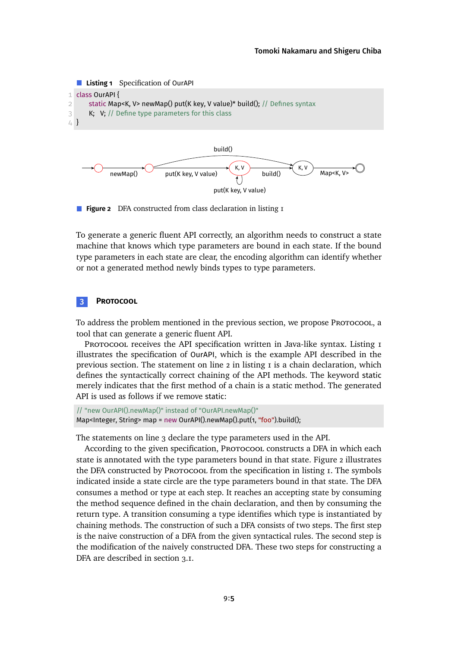<span id="page-4-3"></span><span id="page-4-2"></span><span id="page-4-1"></span>

<span id="page-4-4"></span>

**Figure 2** DFA constructed from class declaration in [listing 1](#page-4-1)

To generate a generic fluent API correctly, an algorithm needs to construct a state machine that knows which type parameters are bound in each state. If the bound type parameters in each state are clear, the encoding algorithm can identify whether or not a generated method newly binds types to type parameters.

## <span id="page-4-0"></span>**3 Protocool**

To address the problem mentioned in the previous section, we propose Protocool, a tool that can generate a generic fluent API.

PROTOCOOL receives the API specification written in Java-like syntax. Listing I illustrates the specification of OurAPI, which is the example API described in the previous section. The statement on [line 2](#page-4-2) in [listing 1](#page-4-1) is a chain declaration, which defines the syntactically correct chaining of the API methods. The keyword static merely indicates that the first method of a chain is a static method. The generated API is used as follows if we remove static:

```
// "new OurAPI().newMap()" instead of "OurAPI.newMap()"
Map<Integer, String> map = new OurAPI().newMap().put(1, "foo").build();
```
The statements on [line 3](#page-4-3) declare the type parameters used in the API.

According to the given specification, Protocool constructs a DFA in which each state is annotated with the type parameters bound in that state. [Figure 2](#page-4-4) illustrates the DFA constructed by Protocool from the specification in [listing 1.](#page-4-1) The symbols indicated inside a state circle are the type parameters bound in that state. The DFA consumes a method or type at each step. It reaches an accepting state by consuming the method sequence defined in the chain declaration, and then by consuming the return type. A transition consuming a type identifies which type is instantiated by chaining methods. The construction of such a DFA consists of two steps. The first step is the naive construction of a DFA from the given syntactical rules. The second step is the modification of the naively constructed DFA. These two steps for constructing a DFA are described in [section 3.1.](#page-5-0)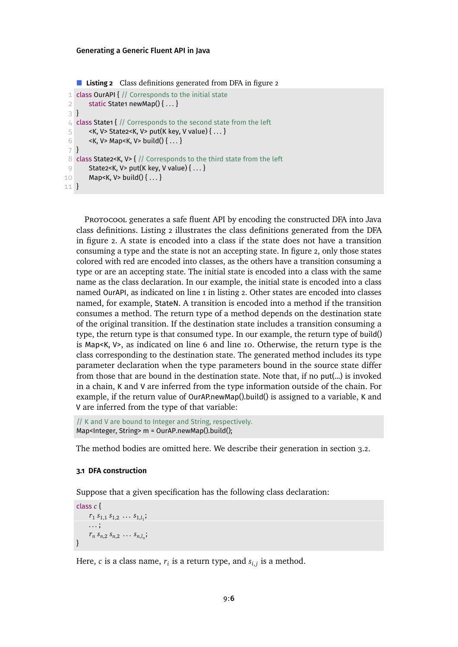<span id="page-5-2"></span><span id="page-5-1"></span>**Listing 2** Class definitions generated from DFA in [figure 2](#page-4-4)

```
1 class OurAPI { // Corresponds to the initial state
 2 static State1 newMap()\{ \dots \}3 }
 4 class State1 { // Corresponds to the second state from the left
 5 \leq <K, V> State2<K, V> put(K key, V value) { ... }
 6 < K, V > Map < K, V > build() \{ \dots \}7 }
 8 class State2<K, V> { // Corresponds to the third state from the left
9 State2<K, V> put(K key, V value) \{ \ldots \}10 Map<K, V> build()\{ \dots \}11 }
```
<span id="page-5-4"></span>PROTOCOOL generates a safe fluent API by encoding the constructed DFA into Java class definitions. [Listing 2](#page-5-1) illustrates the class definitions generated from the DFA in [figure 2.](#page-4-4) A state is encoded into a class if the state does not have a transition consuming a type and the state is not an accepting state. In [figure 2,](#page-4-4) only those states colored with red are encoded into classes, as the others have a transition consuming a type or are an accepting state. The initial state is encoded into a class with the same name as the class declaration. In our example, the initial state is encoded into a class named OurAPI, as indicated on [line 1](#page-5-2) in [listing 2.](#page-5-1) Other states are encoded into classes named, for example, StateN. A transition is encoded into a method if the transition consumes a method. The return type of a method depends on the destination state of the original transition. If the destination state includes a transition consuming a type, the return type is that consumed type. In our example, the return type of build() is Map<K, V>, as indicated on [line 6](#page-5-3) and [line 10.](#page-5-4) Otherwise, the return type is the class corresponding to the destination state. The generated method includes its type parameter declaration when the type parameters bound in the source state differ from those that are bound in the destination state. Note that, if no put(...) is invoked in a chain, K and V are inferred from the type information outside of the chain. For example, if the return value of OurAP.newMap().build() is assigned to a variable, K and V are inferred from the type of that variable:

```
// K and V are bound to Integer and String, respectively.
Map<Integer, String> m = OurAP.newMap().build();
```
The method bodies are omitted here. We describe their generation in [section 3.2.](#page-7-0)

## <span id="page-5-0"></span>**3.1 DFA construction**

Suppose that a given specification has the following class declaration:

```
class c {
        r_1 s_{1,1} s_{1,2} \ldots s_{1,l_1};
       . . . ;
        r_n s_{n,2} s_{n,2} \ldots s_{n,l_n};
}
```
Here,  $c$  is a class name,  $r_i$  is a return type, and  $s_{i,j}$  is a method.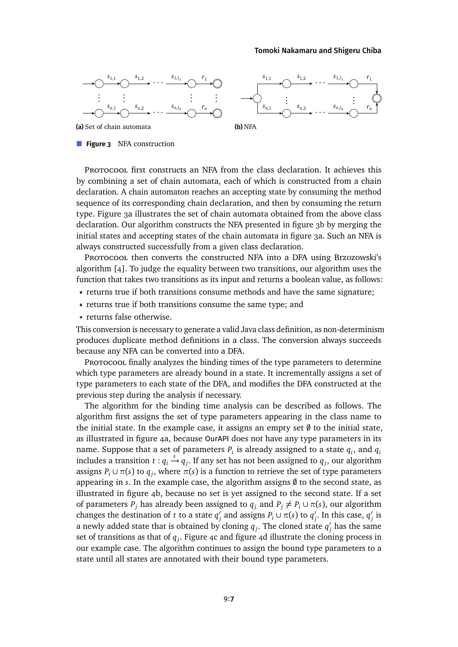#### [Tomoki Nakamaru](#page-22-0) and [Shigeru Chiba](#page-22-1)

<span id="page-6-0"></span>

**Figure 3** NFA construction

PROTOCOOL first constructs an NFA from the class declaration. It achieves this by combining a set of chain automata, each of which is constructed from a chain declaration. A chain automaton reaches an accepting state by consuming the method sequence of its corresponding chain declaration, and then by consuming the return type. [Figure 3a](#page-6-0) illustrates the set of chain automata obtained from the above class declaration. Our algorithm constructs the NFA presented in [figure 3b](#page-6-0) by merging the initial states and accepting states of the chain automata in [figure 3a.](#page-6-0) Such an NFA is always constructed successfully from a given class declaration.

Protocool then converts the constructed NFA into a DFA using Brzozowski's algorithm [\[4\]](#page-19-2). To judge the equality between two transitions, our algorithm uses the function that takes two transitions as its input and returns a boolean value, as follows:

- returns true if both transitions consume methods and have the same signature;
- returns true if both transitions consume the same type; and
- returns false otherwise.

This conversion is necessary to generate a valid Java class definition, as non-determinism produces duplicate method definitions in a class. The conversion always succeeds because any NFA can be converted into a DFA.

Protocool finally analyzes the binding times of the type parameters to determine which type parameters are already bound in a state. It incrementally assigns a set of type parameters to each state of the DFA, and modifies the DFA constructed at the previous step during the analysis if necessary.

The algorithm for the binding time analysis can be described as follows. The algorithm first assigns the set of type parameters appearing in the class name to the initial state. In the example case, it assigns an empty set  $\emptyset$  to the initial state, as illustrated in [figure 4a,](#page-7-1) because OurAPI does not have any type parameters in its name. Suppose that a set of parameters  $P_i$  is already assigned to a state  $q_i$ , and  $q_i$ includes a transition  $t: q_i \stackrel{s}{\rightarrow} q_j$ . If any set has not been assigned to  $q_j$ , our algorithm assigns  $P_i \cup \pi(s)$  to  $q_j$ , where  $\pi(s)$  is a function to retrieve the set of type parameters appearing in  $s$ . In the example case, the algorithm assigns  $\emptyset$  to the second state, as illustrated in [figure 4b,](#page-7-1) because no set is yet assigned to the second state. If a set of parameters  $P_i$  has already been assigned to  $q_i$  and  $P_i \neq P_i \cup \pi(s)$ , our algorithm changes the destination of *t* to a state  $q'$  $q'$  and assigns  $P_i \cup \pi(s)$  to  $q'_j$  $'_{j}$ . In this case,  $q'_{j}$ *j* is a newly added state that is obtained by cloning  $q_j$ . The cloned state  $q'_j$  $'_j$  has the same set of transitions as that of *q<sup>j</sup>* . [Figure 4c](#page-7-1) and [figure 4d](#page-7-1) illustrate the cloning process in our example case. The algorithm continues to assign the bound type parameters to a state until all states are annotated with their bound type parameters.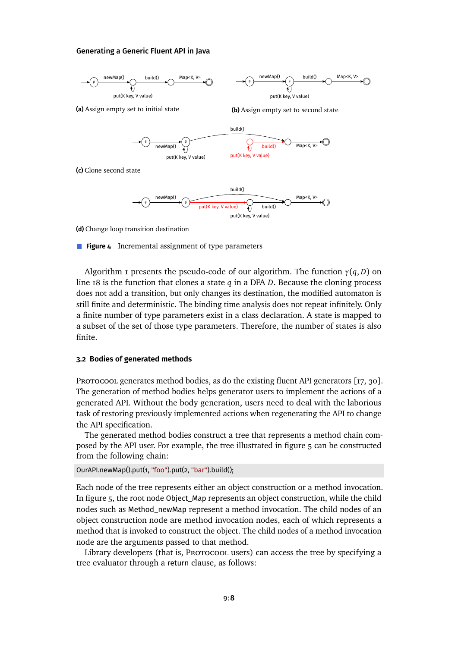<span id="page-7-1"></span>

**(d)** Change loop transition destination

**Figure 4** Incremental assignment of type parameters

[Algorithm 1](#page-8-0) presents the pseudo-code of our algorithm. The function  $\gamma(q, D)$  on [line 18](#page-8-1) is the function that clones a state *q* in a DFA *D*. Because the cloning process does not add a transition, but only changes its destination, the modified automaton is still finite and deterministic. The binding time analysis does not repeat infinitely. Only a finite number of type parameters exist in a class declaration. A state is mapped to a subset of the set of those type parameters. Therefore, the number of states is also finite.

### <span id="page-7-0"></span>**3.2 Bodies of generated methods**

Protocool generates method bodies, as do the existing fluent API generators [\[17,](#page-20-1) [30\]](#page-21-2). The generation of method bodies helps generator users to implement the actions of a generated API. Without the body generation, users need to deal with the laborious task of restoring previously implemented actions when regenerating the API to change the API specification.

The generated method bodies construct a tree that represents a method chain composed by the API user. For example, the tree illustrated in [figure 5](#page-10-0) can be constructed from the following chain:

#### OurAPI.newMap().put(1, "foo").put(2, "bar").build();

Each node of the tree represents either an object construction or a method invocation. In [figure 5,](#page-10-0) the root node Object\_Map represents an object construction, while the child nodes such as Method\_newMap represent a method invocation. The child nodes of an object construction node are method invocation nodes, each of which represents a method that is invoked to construct the object. The child nodes of a method invocation node are the arguments passed to that method.

Library developers (that is, Protocool users) can access the tree by specifying a tree evaluator through a return clause, as follows: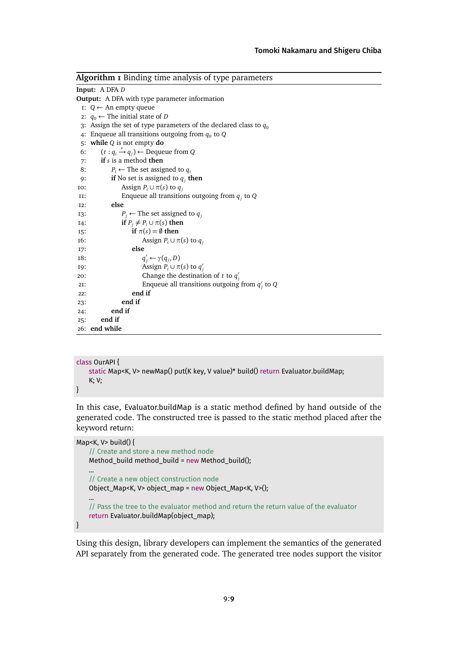<span id="page-8-0"></span>

| <b>Algorithm I</b> Binding time analysis of type parameters |                                                                     |
|-------------------------------------------------------------|---------------------------------------------------------------------|
|                                                             | <b>Input:</b> A DFA D                                               |
| <b>Output:</b> A DFA with type parameter information        |                                                                     |
|                                                             | $I: Q \leftarrow An$ empty queue                                    |
|                                                             | 2: $q_0$ ← The initial state of D                                   |
|                                                             | 3: Assign the set of type parameters of the declared class to $q_0$ |
|                                                             | 4: Enqueue all transitions outgoing from $q_0$ to Q                 |
|                                                             | 5: while $Q$ is not empty do                                        |
| 6:                                                          | $(t:q_i \stackrel{s}{\rightarrow} q_i) \leftarrow$ Dequeue from Q   |
| 7:                                                          | if $s$ is a method then                                             |
| 8:                                                          | $P_i \leftarrow$ The set assigned to $q_i$                          |
| 9:                                                          | if No set is assigned to $q_i$ then                                 |
| 10:                                                         | Assign $P_i \cup \pi(s)$ to $q_i$                                   |
| и:                                                          | Enqueue all transitions outgoing from $q_i$ to Q                    |
| I2:                                                         | else                                                                |
| I3:                                                         | $P_i \leftarrow$ The set assigned to $q_i$                          |
| I4:                                                         | if $P_i \neq P_i \cup \pi(s)$ then                                  |
| I5:                                                         | if $\pi(s) = \emptyset$ then                                        |
| 16:                                                         | Assign $P_i \cup \pi(s)$ to $q_i$                                   |
| I7:                                                         | else                                                                |
| 18:                                                         | $q'_{i} \leftarrow \gamma(q_{j}, D)$                                |
| I9:                                                         | Assign $P_i \cup \pi(s)$ to $q'_i$                                  |
| 20:                                                         | Change the destination of t to $q'_i$                               |
| 2I:                                                         | Enqueue all transitions outgoing from $q'_i$ to Q                   |
| 22:                                                         | end if                                                              |
| 23:                                                         | end if                                                              |
| 24:                                                         | end if                                                              |
| 25:                                                         | end if                                                              |
|                                                             | 26: end while                                                       |

```
class OurAPI {
    static Map<K, V> newMap() put(K key, V value)* build() return Evaluator.buildMap;
    K; V;
}
```
In this case, Evaluator.buildMap is a static method defined by hand outside of the generated code. The constructed tree is passed to the static method placed after the keyword return:

```
Map<K, V> build() {
```
}

```
// Create and store a new method node
Method_build method_build = new Method_build();
...
// Create a new object construction node
Object_Map<K, V> object_map = new Object_Map<K, V>();
...
// Pass the tree to the evaluator method and return the return value of the evaluator
return Evaluator.buildMap(object_map);
```
Using this design, library developers can implement the semantics of the generated API separately from the generated code. The generated tree nodes support the visitor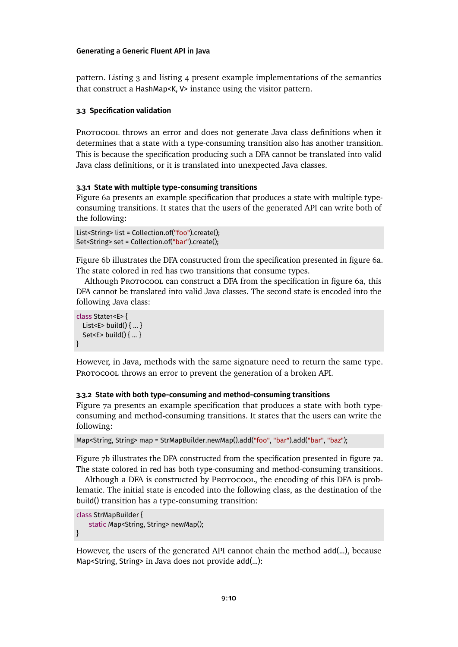pattern. [Listing 3](#page-10-1) and [listing 4](#page-10-2) present example implementations of the semantics that construct a HashMap<K, V> instance using the visitor pattern.

## **3.3 Specification validation**

PROTOCOOL throws an error and does not generate Java class definitions when it determines that a state with a type-consuming transition also has another transition. This is because the specification producing such a DFA cannot be translated into valid Java class definitions, or it is translated into unexpected Java classes.

## **3.3.1 State with multiple type-consuming transitions**

[Figure 6a](#page-10-3) presents an example specification that produces a state with multiple typeconsuming transitions. It states that the users of the generated API can write both of the following:

```
List<String> list = Collection.of("foo").create();
Set<String> set = Collection.of("bar").create();
```
[Figure 6b](#page-10-3) illustrates the DFA constructed from the specification presentedin [figure 6a.](#page-10-3) The state colored in red has two transitions that consume types.

Although Protocool can construct a DFA from the specification in [figure 6a,](#page-10-3) this DFA cannot be translated into valid Java classes. The second state is encoded into the following Java class:

```
class State1<E> {
  List<E> build() \{ \dots \}Set<E> build() { ... }
}
```
However, in Java, methods with the same signature need to return the same type. PROTOCOOL throws an error to prevent the generation of a broken API.

## **3.3.2 State with both type-consuming and method-consuming transitions**

[Figure 7a](#page-10-4) presents an example specification that produces a state with both typeconsuming and method-consuming transitions. It states that the users can write the following:

```
Map<String, String> map = StrMapBuilder.newMap().add("foo", "bar").add("bar", "baz");
```
[Figure 7b](#page-10-4) illustrates the DFA constructed from the specification presented in [figure 7a.](#page-10-4) The state colored in red has both type-consuming and method-consuming transitions.

Although a DFA is constructed by Protocool, the encoding of this DFA is problematic. The initial state is encoded into the following class, as the destination of the build() transition has a type-consuming transition:

```
class StrMapBuilder {
   static Map<String, String> newMap();
}
```
However, the users of the generated API cannot chain the method add(...), because Map<String, String> in Java does not provide add(...):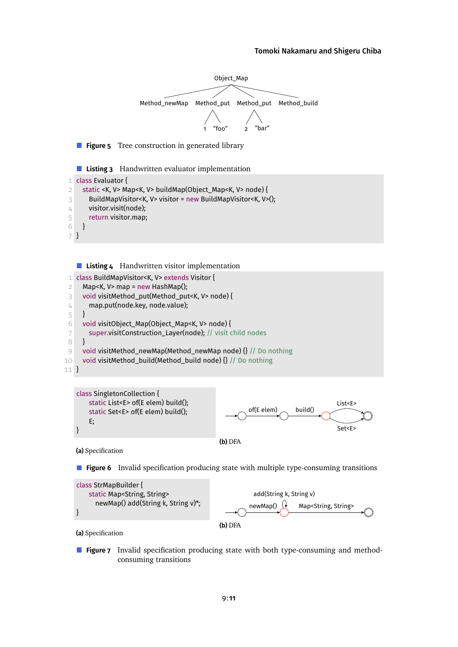#### [Tomoki Nakamaru](#page-22-0) and [Shigeru Chiba](#page-22-1)

<span id="page-10-1"></span><span id="page-10-0"></span>

<span id="page-10-2"></span>**Listing 4** Handwritten visitor implementation 1 class BuildMapVisitor<K, V> extends Visitor {



<span id="page-10-3"></span>

**(a)** Specification

**Figure 6** Invalid specification producing state with multiple type-consuming transitions

<span id="page-10-4"></span>

**(a)** Specification

**Figure 7** Invalid specification producing state with both type-consuming and methodconsuming transitions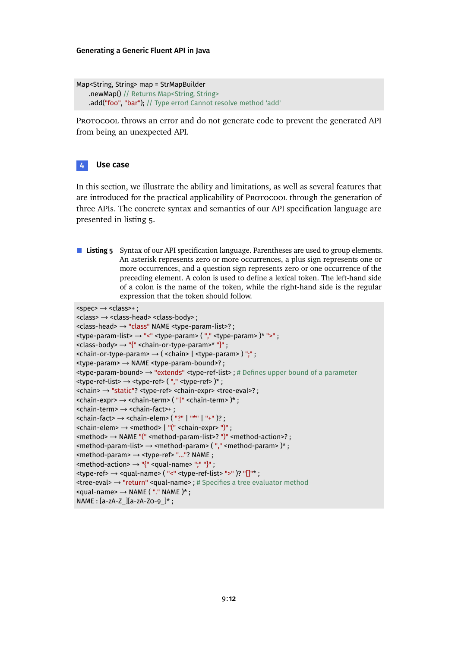Map<String, String> map = StrMapBuilder .newMap() // Returns Map<String, String> .add("foo", "bar"); // Type error! Cannot resolve method 'add'

PROTOCOOL throws an error and do not generate code to prevent the generated API from being an unexpected API.

## <span id="page-11-0"></span>**4 Use case**

In this section, we illustrate the ability and limitations, as well as several features that are introduced for the practical applicability of Protocool through the generation of three APIs. The concrete syntax and semantics of our API specification language are presented in [listing 5.](#page-11-1)

<span id="page-11-1"></span>**Listing 5** Syntax of our API specification language. Parentheses are used to group elements. An asterisk represents zero or more occurrences, a plus sign represents one or more occurrences, and a question sign represents zero or one occurrence of the preceding element. A colon is used to define a lexical token. The left-hand side of a colon is the name of the token, while the right-hand side is the regular expression that the token should follow.

```
<spec> \rightarrow <class>+ ;
```

```
<class> → <class-head> <class-body> ;
<class-head> → "class" NAME <type-param-list>? ;
<type-param-list> → "<" <type-param> ( "," <type-param> )* ">" ;
<class-body> → "{" <chain-or-type-param>* "}" ;
\lechain-or-type-param> \rightarrow ( \lechain> | \letype-param> ) ";";
<type-param> → NAME <type-param-bound>? ;
<type-param-bound> → "extends" <type-ref-list> ; # Defines upper bound of a parameter
lttype-ref-list> \rightarrow lttype-ref> ("," lttype-ref> )*;
<chain> → "static"? <type-ref> <chain-expr> <tree-eval>? ;
<chain-expr> → <chain-term> ( "|" <chain-term> )* ;
<chain-term> → <chain-fact>+ ;
\lechain-fact> \rightarrow \lechain-elem> ("?" | "*" | "+" )? ;
<chain-elem> → <method> | "(" <chain-expr> ")" ;
<method> → NAME "(" <method-param-list>? ")" <method-action>? ;
<method-param-list> → <method-param> ( "," <method-param> )* ;
<method-param> → <type-ref> "..."? NAME ;
\leq method-action> \rightarrow "{" \leq qual-name> ";" "}";
<type-ref> → <qual-name> ( "<" <type-ref-list> ">" )? "[]"* ;
<tree-eval> → "return" <qual-name> ; # Specifies a tree evaluator method
\lequal-name> \rightarrow NAME ("." NAME)*;
NAME : [a-zA-Z_][a-zA-Z0-9_]* ;
```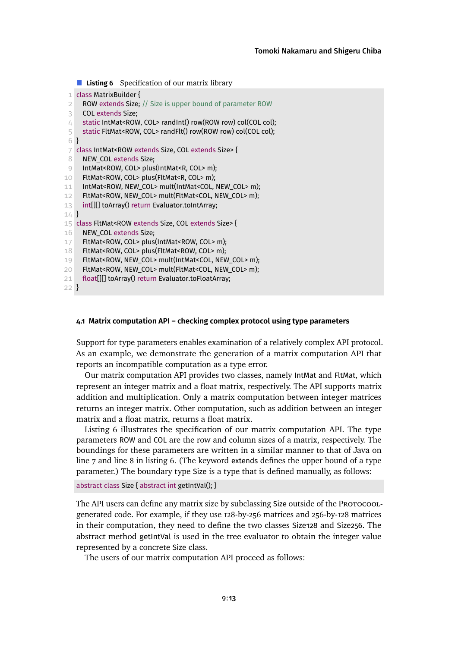#### <span id="page-12-0"></span>**Listing 6** Specification of our matrix library

```
1 class MatrixBuilder {
 2 ROW extends Size; // Size is upper bound of parameter ROW
 3 COL extends Size;
 4 static IntMat<ROW, COL> randInt() row(ROW row) col(COL col);
 5 static FltMat<ROW, COL> randFlt() row(ROW row) col(COL col);
 6 }
 7 class IntMat<ROW extends Size, COL extends Size> {
 8 NEW COL extends Size:
 9 IntMat<ROW, COL> plus(IntMat<R, COL> m);
10 FltMat<ROW, COL> plus(FltMat<R, COL> m);
11 IntMat<ROW, NEW_COL> mult(IntMat<COL, NEW_COL> m);
12 FltMat<ROW, NEW_COL> mult(FltMat<COL, NEW_COL> m);
13 int[][] toArray() return Evaluator.toIntArray;
14 }
15 class FltMat<ROW extends Size, COL extends Size> {
16 NEW COL extends Size;
17 FltMat<ROW, COL> plus(IntMat<ROW, COL> m);
18 FltMat<ROW, COL> plus(FltMat<ROW, COL> m);
19 FltMat<ROW, NEW_COL> mult(IntMat<COL, NEW_COL> m);
20 FltMat<ROW, NEW COL> mult(FltMat<COL, NEW COL> m);
21 float[][] toArray() return Evaluator.toFloatArray;
22 }
```
## <span id="page-12-3"></span>**4.1 Matrix computation API – checking complex protocol using type parameters**

Support for type parameters enables examination of a relatively complex API protocol. As an example, we demonstrate the generation of a matrix computation API that reports an incompatible computation as a type error.

Our matrix computation API provides two classes, namely IntMat and FltMat, which represent an integer matrix and a float matrix, respectively. The API supports matrix addition and multiplication. Only a matrix computation between integer matrices returns an integer matrix. Other computation, such as addition between an integer matrix and a float matrix, returns a float matrix.

[Listing 6](#page-12-0) illustrates the specification of our matrix computation API. The type parameters ROW and COL are the row and column sizes of a matrix, respectively. The boundings for these parameters are written in a similar manner to that of Java on [line 7](#page-12-1) and [line 8](#page-12-2)in [listing 6.](#page-12-0) (The keyword extends defines the upper bound of a type parameter.) The boundary type Size is a type that is defined manually, as follows:

abstract class Size { abstract int getIntVal(); }

The API users can define any matrix size by subclassing Size outside of the Protocoolgenerated code. For example, if they use 128-by-256 matrices and 256-by-128 matrices in their computation, they need to define the two classes Size128 and Size256. The abstract method getIntVal is used in the tree evaluator to obtain the integer value represented by a concrete Size class.

The users of our matrix computation API proceed as follows: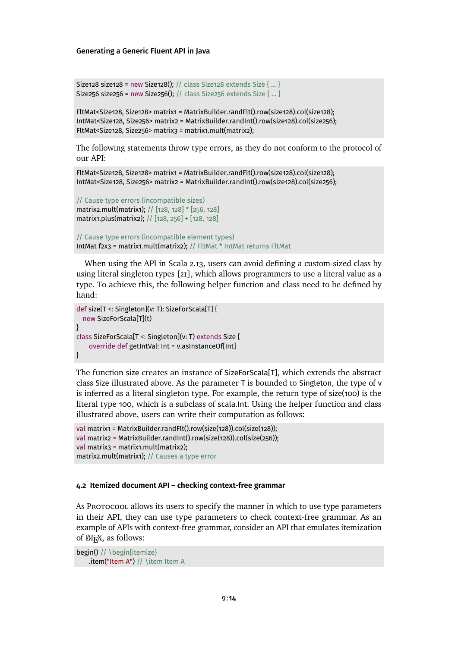```
Size128 size128 = new Size128(); // class Size128 extends Size { ... }
Size256 size256 = new Size256(); // class Size256 extends Size { ... }
```
FltMat<Size128, Size128> matrix1 = MatrixBuilder.randFlt().row(size128).col(size128); IntMat<Size128, Size256> matrix2 = MatrixBuilder.randInt().row(size128).col(size256); FltMat<Size128, Size256> matrix3 = matrix1.mult(matrix2);

The following statements throw type errors, as they do not conform to the protocol of our API:

FltMat<Size128, Size128> matrix1 = MatrixBuilder.randFlt().row(size128).col(size128); IntMat<Size128, Size256> matrix2 = MatrixBuilder.randInt().row(size128).col(size256);

```
// Cause type errors (incompatible sizes)
matrix2.mult(matrix1); // [128, 128] * [256, 128]
matrix1.plus(matrix2); // [128, 256] + [128, 128]
```

```
// Cause type errors (incompatible element types)
IntMat f2x3 = matrix1.mult(matrix2); // FltMat * IntMat returns FltMat
```
When using the API in Scala 2.13, users can avoid defining a custom-sized class by using literal singleton types [\[21\]](#page-20-3), which allows programmers to use a literal value as a type. To achieve this, the following helper function and class need to be defined by hand:

```
def size[T <: Singleton](v: T): SizeForScala[T] {
  new SizeForScala[T](t)
}
class SizeForScala[T <: Singleton](v: T) extends Size {
    override def getIntVal: Int = v.asInstanceOf[Int]
}
```
The function size creates an instance of SizeForScala[T], which extends the abstract class Size illustrated above. As the parameter T is bounded to Singleton, the type of v is inferred as a literal singleton type. For example, the return type of size(100) is the literal type 100, which is a subclass of scala.Int. Using the helper function and class illustrated above, users can write their computation as follows:

```
val matrix1 = MatrixBuilder.randFlt().row(size(128)).col(size(128));
val matrix2 = MatrixBuilder.randInt().row(size(128)).col(size(256));
val matrix3 = matrix1.mult(matrix2);
matrix2.mult(matrix1); // Causes a type error
```
#### <span id="page-13-0"></span>**4.2 Itemized document API – checking context-free grammar**

As Protocool allows its users to specify the manner in which to use type parameters in their API, they can use type parameters to check context-free grammar. As an example of APIs with context-free grammar, consider an API that emulates itemization of ETEX, as follows:

begin() // \begin{itemize} .item("Item A") // \item Item A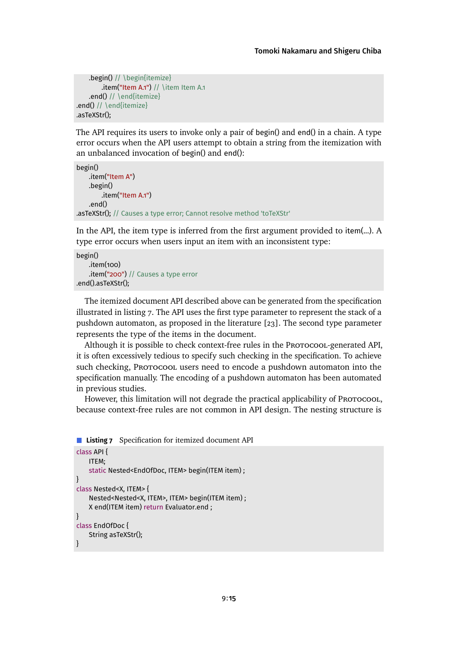```
.begin() // \begin{itemize}
        .item("Item A.1") // \item Item A.1
    .end() // \end{itemize}
.end() // \end{itemize}
.asTeXStr();
```
The API requires its users to invoke only a pair of begin() and end() in a chain. A type error occurs when the API users attempt to obtain a string from the itemization with an unbalanced invocation of begin() and end():

```
begin()
    .item("Item A")
    .begin()
        .item("Item A.1")
    .end()
.asTeXStr(); // Causes a type error; Cannot resolve method 'toTeXStr'
```
In the API, the item type is inferred from the first argument provided to item(...). A type error occurs when users input an item with an inconsistent type:

```
begin()
    .item(100)
    .item("200") // Causes a type error
.end().asTeXStr();
```
The itemized document API described above can be generated from the specification illustratedin [listing 7.](#page-14-0) The API uses the first type parameter to represent the stack of a pushdown automaton, as proposed in the literature [\[23\]](#page-21-0). The second type parameter represents the type of the items in the document.

Although it is possible to check context-free rules in the Protocool-generated API, it is often excessively tedious to specify such checking in the specification. To achieve such checking, Protocool users need to encode a pushdown automaton into the specification manually. The encoding of a pushdown automaton has been automated in previous studies.

However, this limitation will not degrade the practical applicability of Protocool, because context-free rules are not common in API design. The nesting structure is

```
Listing 7 Specification for itemized document API
class API {
   ITEM;
   static Nested<EndOfDoc, ITEM> begin(ITEM item) ;
}
class Nested<X, ITEM> {
   Nested<Nested<X, ITEM>, ITEM> begin(ITEM item) ;
   X end(ITEM item) return Evaluator.end ;
}
class EndOfDoc {
   String asTeXStr();
}
```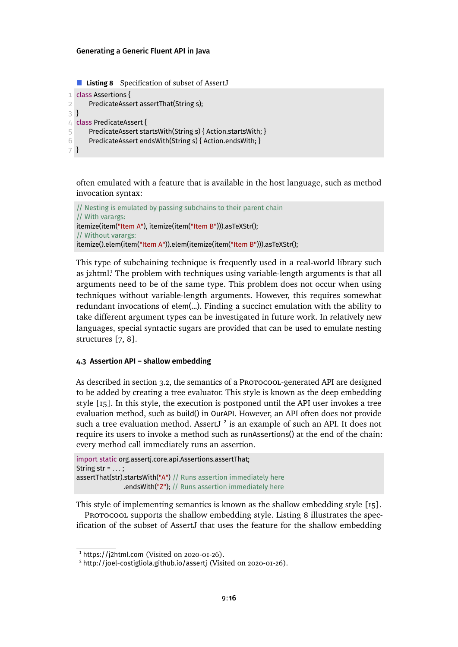```
Listing 8 Specification of subset of AssertJ
1 class Assertions {
2 PredicateAssert assertThat(String s);
3 }
4 class PredicateAssert {
5 PredicateAssert startsWith(String s) { Action.startsWith; }
6 PredicateAssert endsWith(String s) { Action.endsWith; }
7 }
```
often emulated with a feature that is available in the host language, such as method invocation syntax:

```
// Nesting is emulated by passing subchains to their parent chain
// With varargs:
itemize(item("Item A"), itemize(item("Item B"))).asTeXStr();
// Without varargs:
itemize().elem(item("Item A")).elem(itemize(item("Item B"))).asTeXStr();
```
This type of subchaining technique is frequently used in a real-world library such as *j*2htm[l.](#page-15-0)<sup>1</sup> The problem with techniques using variable-length arguments is that all arguments need to be of the same type. This problem does not occur when using techniques without variable-length arguments. However, this requires somewhat redundant invocations of elem(...). Finding a succinct emulation with the ability to take different argument types can be investigated in future work. In relatively new languages, special syntactic sugars are provided that can be used to emulate nesting structures [\[7,](#page-19-3) [8\]](#page-19-4).

## **4.3 Assertion API – shallow embedding**

As described in [section 3.2,](#page-7-0) the semantics of a Protocool-generated API are designed to be added by creating a tree evaluator. This style is known as the deep embedding style [\[15\]](#page-20-4). In this style, the execution is postponed until the API user invokes a tree evaluation method, such as build() in OurAPI. However, an API often does not provide such a tree evaluation method. AssertJ<sup>[2](#page-15-1)</sup> is an example of such an API. It does not require its users to invoke a method such as runAssertions() at the end of the chain: every method call immediately runs an assertion.

import static org.assertj.core.api.Assertions.assertThat; String str =  $\dots$  : assertThat(str).startsWith("A") // Runs assertion immediately here .endsWith("Z"); // Runs assertion immediately here

This style of implementing semantics is known as the shallow embedding style [\[15\]](#page-20-4).

PROTOCOOL supports the shallow embedding style. [Listing 8](#page-15-2) illustrates the specification of the subset of AssertJ that uses the feature for the shallow embedding

<span id="page-15-0"></span> $1$  https://i2html.com (Visited on 2020-01-26).

<span id="page-15-1"></span><sup>2</sup> <http://joel-costigliola.github.io/assertj> (Visited on 2020-01-26).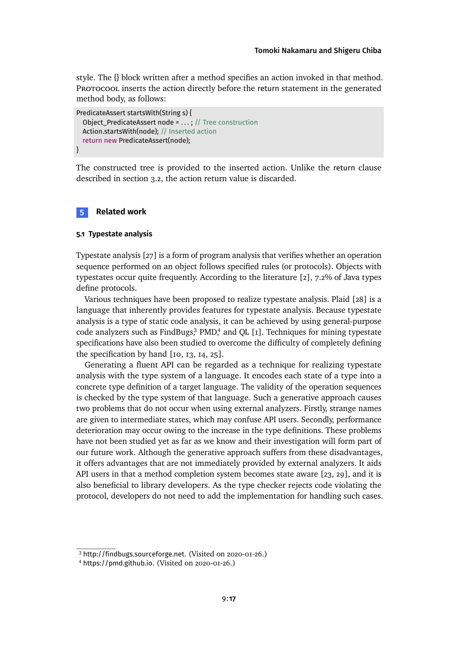style. The {} block written after a method specifies an action invoked in that method. Protocool inserts the action directly before the return statement in the generated method body, as follows:

```
PredicateAssert startsWith(String s) {
  Object_PredicateAssert node = . . . ; // Tree construction
  Action.startsWith(node); // Inserted action
  return new PredicateAssert(node);
}
```
The constructed tree is provided to the inserted action. Unlike the return clause described in [section 3.2,](#page-7-0) the action return value is discarded.

## <span id="page-16-0"></span>**5 Related work**

## **5.1 Typestate analysis**

Typestate analysis [\[27\]](#page-21-3) is a form of program analysis that verifies whether an operation sequence performed on an object follows specified rules (or protocols). Objects with typestates occur quite frequently. According to the literature [\[2\]](#page-18-1), 7.2% of Java types define protocols.

Various techniques have been proposed to realize typestate analysis. Plaid [\[28\]](#page-21-4) is a language that inherently provides features for typestate analysis. Because typestate analysis is a type of static code analysis, it can be achieved by using general-purpose code analyzers such as FindBug[s,](#page-16-1)<sup>3</sup> PM[D,](#page-16-2)<sup>4</sup> and QL [\[1\]](#page-18-2). Techniques for mining typestate specifications have also been studied to overcome the difficulty of completely defining the specification by hand [\[10,](#page-19-5) [13,](#page-20-5) [14,](#page-20-6) [25\]](#page-21-5).

Generating a fluent API can be regarded as a technique for realizing typestate analysis with the type system of a language. It encodes each state of a type into a concrete type definition of a target language. The validity of the operation sequences is checked by the type system of that language. Such a generative approach causes two problems that do not occur when using external analyzers. Firstly, strange names are given to intermediate states, which may confuse API users. Secondly, performance deterioration may occur owing to the increase in the type definitions. These problems have not been studied yet as far as we know and their investigation will form part of our future work. Although the generative approach suffers from these disadvantages, it offers advantages that are not immediately provided by external analyzers. It aids API users in that a method completion system becomes state aware [\[23,](#page-21-0) [29\]](#page-21-1), and it is also beneficial to library developers. As the type checker rejects code violating the protocol, developers do not need to add the implementation for handling such cases.

<span id="page-16-1"></span><sup>3</sup> <http://findbugs.sourceforge.net>. (Visited on 2020-01-26.)

<span id="page-16-2"></span><sup>4</sup> <https://pmd.github.io>. (Visited on 2020-01-26.)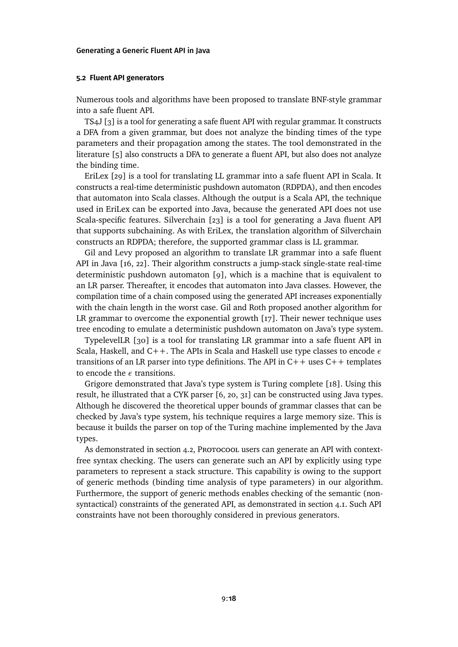#### **5.2 Fluent API generators**

Numerous tools and algorithms have been proposed to translate BNF-style grammar into a safe fluent API.

TS4J [\[3\]](#page-19-1) is a tool for generating a safe fluent API with regular grammar. It constructs a DFA from a given grammar, but does not analyze the binding times of the type parameters and their propagation among the states. The tool demonstrated in the literature [\[5\]](#page-19-6) also constructs a DFA to generate a fluent API, but also does not analyze the binding time.

EriLex [\[29\]](#page-21-1) is a tool for translating LL grammar into a safe fluent API in Scala. It constructs a real-time deterministic pushdown automaton (RDPDA), and then encodes that automaton into Scala classes. Although the output is a Scala API, the technique used in EriLex can be exported into Java, because the generated API does not use Scala-specific features. Silverchain [\[23\]](#page-21-0) is a tool for generating a Java fluent API that supports subchaining. As with EriLex, the translation algorithm of Silverchain constructs an RDPDA; therefore, the supported grammar class is LL grammar.

Gil and Levy proposed an algorithm to translate LR grammar into a safe fluent API in Java [\[16,](#page-20-0) [22\]](#page-20-7). Their algorithm constructs a jump-stack single-state real-time deterministic pushdown automaton [\[9\]](#page-19-7), which is a machine that is equivalent to an LR parser. Thereafter, it encodes that automaton into Java classes. However, the compilation time of a chain composed using the generated API increases exponentially with the chain length in the worst case. Gil and Roth proposed another algorithm for LR grammar to overcome the exponential growth  $\lceil r^2 \rceil$ . Their newer technique uses tree encoding to emulate a deterministic pushdown automaton on Java's type system.

TypelevelLR [\[30\]](#page-21-2) is a tool for translating LR grammar into a safe fluent API in Scala, Haskell, and C++. The APIs in Scala and Haskell use type classes to encode *ε* transitions of an LR parser into type definitions. The API in  $C++$  uses  $C++$  templates to encode the *ε* transitions.

Grigore demonstrated that Java's type system is Turing complete [\[18\]](#page-20-2). Using this result, he illustrated that a CYK parser [\[6,](#page-19-8) [20,](#page-20-8) [31\]](#page-21-6) can be constructed using Java types. Although he discovered the theoretical upper bounds of grammar classes that can be checked by Java's type system, his technique requires a large memory size. This is because it builds the parser on top of the Turing machine implemented by the Java types.

As demonstrated in [section 4.2,](#page-13-0) Protocool users can generate an API with contextfree syntax checking. The users can generate such an API by explicitly using type parameters to represent a stack structure. This capability is owing to the support of generic methods (binding time analysis of type parameters) in our algorithm. Furthermore, the support of generic methods enables checking of the semantic (nonsyntactical) constraints of the generated API, as demonstrated in [section 4.1.](#page-12-3) Such API constraints have not been thoroughly considered in previous generators.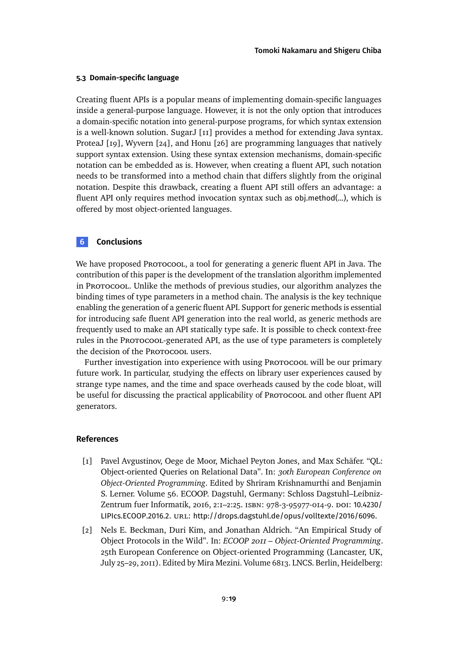## **5.3 Domain-specific language**

Creating fluent APIs is a popular means of implementing domain-specific languages inside a general-purpose language. However, it is not the only option that introduces a domain-specific notation into general-purpose programs, for which syntax extension is a well-known solution. SugarJ [\[11\]](#page-19-9) provides a method for extending Java syntax. ProteaJ [\[19\]](#page-20-9), Wyvern [\[24\]](#page-21-7), and Honu [\[26\]](#page-21-8) are programming languages that natively support syntax extension. Using these syntax extension mechanisms, domain-specific notation can be embedded as is. However, when creating a fluent API, such notation needs to be transformed into a method chain that differs slightly from the original notation. Despite this drawback, creating a fluent API still offers an advantage: a fluent API only requires method invocation syntax such as obj.method(...), which is offered by most object-oriented languages.

# <span id="page-18-0"></span>**6 Conclusions**

We have proposed Protocool, a tool for generating a generic fluent API in Java. The contribution of this paper is the development of the translation algorithm implemented in Protocool. Unlike the methods of previous studies, our algorithm analyzes the binding times of type parameters in a method chain. The analysis is the key technique enabling the generation of a generic fluent API. Support for generic methods is essential for introducing safe fluent API generation into the real world, as generic methods are frequently used to make an API statically type safe. It is possible to check context-free rules in the Protocool-generated API, as the use of type parameters is completely the decision of the Protocool users.

Further investigation into experience with using Protocool will be our primary future work. In particular, studying the effects on library user experiences caused by strange type names, and the time and space overheads caused by the code bloat, will be useful for discussing the practical applicability of Protocool and other fluent API generators.

#### **References**

- <span id="page-18-2"></span>[1] Pavel Avgustinov, Oege de Moor, Michael Peyton Jones, and Max Schäfer. "QL: Object-oriented Queries on Relational Data". In: *30th European Conference on Object-Oriented Programming*. Edited by Shriram Krishnamurthi and Benjamin S. Lerner. Volume 56. ECOOP. Dagstuhl, Germany: Schloss Dagstuhl–Leibniz-Zentrum fuer Informatik, 2016, 2:1-2:25. ISBN: 978-3-95977-014-9. DOI: [10.4230/](https://doi.org/10.4230/LIPIcs.ECOOP.2016.2) [LIPIcs.ECOOP.2016.2](https://doi.org/10.4230/LIPIcs.ECOOP.2016.2). URL: <http://drops.dagstuhl.de/opus/volltexte/2016/6096>.
- <span id="page-18-1"></span>[2] Nels E. Beckman, Duri Kim, and Jonathan Aldrich. "An Empirical Study of Object Protocols in the Wild". In: *ECOOP 2011 – Object-Oriented Programming*. 25th European Conference on Object-oriented Programming (Lancaster, UK, July 25–29, 2011). Edited by Mira Mezini. Volume 6813. LNCS. Berlin, Heidelberg: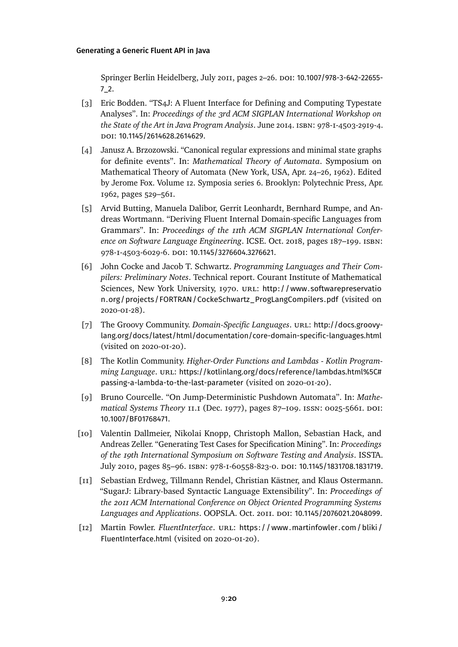Springer Berlin Heidelberg, July 2011, pages 2-26. DOI: [10.1007/978-3-642-22655-](https://doi.org/10.1007/978-3-642-22655-7_2) [7\\_2](https://doi.org/10.1007/978-3-642-22655-7_2).

- <span id="page-19-1"></span>[3] Eric Bodden. "TS4J: A Fluent Interface for Defining and Computing Typestate Analyses". In: *Proceedings of the 3rd ACM SIGPLAN International Workshop on the State of the Art in Java Program Analysis*. June 2014. isbn: 978-1-4503-2919-4. doi: [10.1145/2614628.2614629](https://doi.org/10.1145/2614628.2614629).
- <span id="page-19-2"></span>[4] Janusz A. Brzozowski. "Canonical regular expressions and minimal state graphs for definite events". In: *Mathematical Theory of Automata*. Symposium on Mathematical Theory of Automata (New York, USA, Apr. 24–26, 1962). Edited by Jerome Fox. Volume 12. Symposia series 6. Brooklyn: Polytechnic Press, Apr. 1962, pages 529–561.
- <span id="page-19-6"></span>[5] Arvid Butting, Manuela Dalibor, Gerrit Leonhardt, Bernhard Rumpe, and Andreas Wortmann. "Deriving Fluent Internal Domain-specific Languages from Grammars". In: *Proceedings of the 11th ACM SIGPLAN International Conference on Software Language Engineering*. ICSE. Oct. 2018, pages 187–199. isbn: 978-1-4503-6029-6. doi: [10.1145/3276604.3276621](https://doi.org/10.1145/3276604.3276621).
- <span id="page-19-8"></span>[6] John Cocke and Jacob T. Schwartz. *Programming Languages and Their Compilers: Preliminary Notes*. Technical report. Courant Institute of Mathematical Sciences, New York University, 1970. URL: [http://www.softwarepreservatio](http://www.softwarepreservation.org/projects/FORTRAN/CockeSchwartz_ProgLangCompilers.pdf) [n.org/projects/FORTRAN/CockeSchwartz\\_ProgLangCompilers.pdf](http://www.softwarepreservation.org/projects/FORTRAN/CockeSchwartz_ProgLangCompilers.pdf) (visited on 2020-01-28).
- <span id="page-19-3"></span>[7] The Groovy Community. *Domain-Specific Languages*. URL: [http://docs.groovy](http://docs.groovy-lang.org/docs/latest/html/documentation/core-domain-specific-languages.html)[lang.org/docs/latest/html/documentation/core-domain-specific-languages.html](http://docs.groovy-lang.org/docs/latest/html/documentation/core-domain-specific-languages.html) (visited on 2020-01-20).
- <span id="page-19-4"></span>[8] The Kotlin Community. *Higher-Order Functions and Lambdas - Kotlin Programming Language.* URL: [https://kotlinlang.org/docs/reference/lambdas.html%5C#](https://kotlinlang.org/docs/reference/lambdas.html%5C#passing-a-lambda-to-the-last-parameter) [passing-a-lambda-to-the-last-parameter](https://kotlinlang.org/docs/reference/lambdas.html%5C#passing-a-lambda-to-the-last-parameter) (visited on 2020-01-20).
- <span id="page-19-7"></span>[9] Bruno Courcelle. "On Jump-Deterministic Pushdown Automata". In: *Mathematical Systems Theory* 11.1 (Dec. 1977), pages 87–109. issn: 0025-5661. doi: [10.1007/BF01768471](https://doi.org/10.1007/BF01768471).
- <span id="page-19-5"></span>[10] Valentin Dallmeier, Nikolai Knopp, Christoph Mallon, Sebastian Hack, and Andreas Zeller. "Generating Test Cases for Specification Mining". In: *Proceedings of the 19th International Symposium on Software Testing and Analysis*. ISSTA. July 2010, pages 85-96. ISBN: 978-1-60558-823-0. DOI: [10.1145/1831708.1831719](https://doi.org/10.1145/1831708.1831719).
- <span id="page-19-9"></span>[11] Sebastian Erdweg, Tillmann Rendel, Christian Kästner, and Klaus Ostermann. "SugarJ: Library-based Syntactic Language Extensibility". In: *Proceedings of the 2011 ACM International Conference on Object Oriented Programming Systems Languages and Applications*. OOPSLA. Oct. 2011. doi: [10.1145/2076021.2048099](https://doi.org/10.1145/2076021.2048099).
- <span id="page-19-0"></span>[12] Martin Fowler. *FluentInterface*. url.: https://www.martinfowler.com/bliki/ [FluentInterface.html](https://www.martinfowler.com/bliki/FluentInterface.html) (visited on 2020-01-20).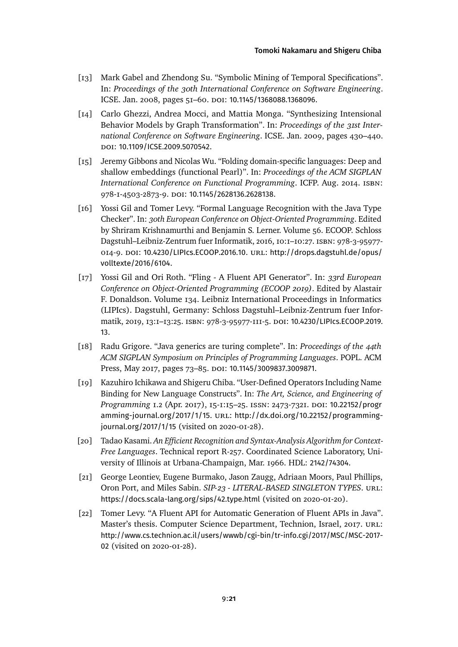- <span id="page-20-5"></span>[13] Mark Gabel and Zhendong Su. "Symbolic Mining of Temporal Specifications". In: *Proceedings of the 30th International Conference on Software Engineering*. ICSE. Jan. 2008, pages 51-60. DOI: [10.1145/1368088.1368096](https://doi.org/10.1145/1368088.1368096).
- <span id="page-20-6"></span>[14] Carlo Ghezzi, Andrea Mocci, and Mattia Monga. "Synthesizing Intensional Behavior Models by Graph Transformation". In: *Proceedings of the 31st International Conference on Software Engineering*. ICSE. Jan. 2009, pages 430–440. doi: [10.1109/ICSE.2009.5070542](https://doi.org/10.1109/ICSE.2009.5070542).
- <span id="page-20-4"></span>[15] Jeremy Gibbons and Nicolas Wu. "Folding domain-specific languages: Deep and shallow embeddings (functional Pearl)". In: *Proceedings of the ACM SIGPLAN International Conference on Functional Programming*. ICFP. Aug. 2014. isbn: 978-1-4503-2873-9. doi: [10.1145/2628136.2628138](https://doi.org/10.1145/2628136.2628138).
- <span id="page-20-0"></span>[16] Yossi Gil and Tomer Levy. "Formal Language Recognition with the Java Type Checker". In: *30th European Conference on Object-Oriented Programming*. Edited by Shriram Krishnamurthi and Benjamin S. Lerner. Volume 56. ECOOP. Schloss Dagstuhl–Leibniz-Zentrum fuer Informatik, 2016, 10:1–10:27. isbn: 978-3-95977- 014-9. DOI: [10.4230/LIPIcs.ECOOP.2016.10](https://doi.org/10.4230/LIPIcs.ECOOP.2016.10). URL: [http://drops.dagstuhl.de/opus/](http://drops.dagstuhl.de/opus/volltexte/2016/6104) [volltexte/2016/6104](http://drops.dagstuhl.de/opus/volltexte/2016/6104).
- <span id="page-20-1"></span>[17] Yossi Gil and Ori Roth. "Fling - A Fluent API Generator". In: *33rd European Conference on Object-Oriented Programming (ECOOP 2019)*. Edited by Alastair F. Donaldson. Volume 134. Leibniz International Proceedings in Informatics (LIPIcs). Dagstuhl, Germany: Schloss Dagstuhl–Leibniz-Zentrum fuer Informatik, 2019, 13:1–13:25. isbn: 978-3-95977-111-5. doi: [10.4230/LIPIcs.ECOOP.2019.](https://doi.org/10.4230/LIPIcs.ECOOP.2019.13) [13](https://doi.org/10.4230/LIPIcs.ECOOP.2019.13).
- <span id="page-20-2"></span>[18] Radu Grigore. "Java generics are turing complete". In: *Proceedings of the 44th ACM SIGPLAN Symposium on Principles of Programming Languages*. POPL. ACM Press, May 2017, pages 73-85. DOI: [10.1145/3009837.3009871](https://doi.org/10.1145/3009837.3009871).
- <span id="page-20-9"></span>[19] Kazuhiro Ichikawa and Shigeru Chiba. "User-Defined Operators Including Name Binding for New Language Constructs". In: *The Art, Science, and Engineering of Programming* 1.2 (Apr. 2017), 15-1:15–25. issn: 2473-7321. doi: [10.22152/progr](https://doi.org/10.22152/programming-journal.org/2017/1/15) [amming-journal.org/2017/1/15](https://doi.org/10.22152/programming-journal.org/2017/1/15). URL: [http://dx.doi.org/10.22152/programming](http://dx.doi.org/10.22152/programming-journal.org/2017/1/15)[journal.org/2017/1/15](http://dx.doi.org/10.22152/programming-journal.org/2017/1/15) (visited on 2020-01-28).
- <span id="page-20-8"></span>[20] Tadao Kasami. *An Efficient Recognition and Syntax-Analysis Algorithm for Context-Free Languages*. Technical report R-257. Coordinated Science Laboratory, University of Illinois at Urbana-Champaign, Mar. 1966. HDL: [2142/74304](http://hdl.handle.net/2142/74304).
- <span id="page-20-3"></span>[21] George Leontiev, Eugene Burmako, Jason Zaugg, Adriaan Moors, Paul Phillips, Oron Port, and Miles Sabin. *SIP-23 - LITERAL-BASED SINGLETON TYPES*. url: <https://docs.scala-lang.org/sips/42.type.html> (visited on 2020-01-20).
- <span id="page-20-7"></span>[22] Tomer Levy. "A Fluent API for Automatic Generation of Fluent APIs in Java". Master's thesis. Computer Science Department, Technion, Israel, 2017. url: [http://www.cs.technion.ac.il/users/wwwb/cgi-bin/tr-info.cgi/2017/MSC/MSC-2017-](http://www.cs.technion.ac.il/users/wwwb/cgi-bin/tr-info.cgi/2017/MSC/MSC-2017-02) [02](http://www.cs.technion.ac.il/users/wwwb/cgi-bin/tr-info.cgi/2017/MSC/MSC-2017-02) (visited on 2020-01-28).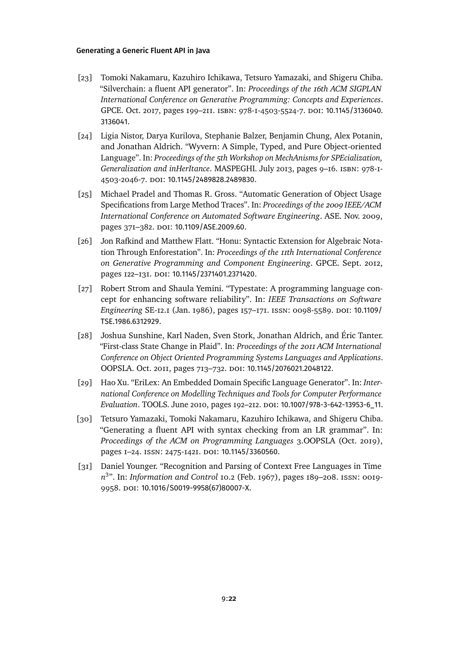- <span id="page-21-0"></span>[23] Tomoki Nakamaru, Kazuhiro Ichikawa, Tetsuro Yamazaki, and Shigeru Chiba. "Silverchain: a fluent API generator". In: *Proceedings of the 16th ACM SIGPLAN International Conference on Generative Programming: Concepts and Experiences*. GPCE. Oct. 2017, pages 199–211. isbn: 978-1-4503-5524-7. doi: [10.1145/3136040.](https://doi.org/10.1145/3136040.3136041) [3136041](https://doi.org/10.1145/3136040.3136041).
- <span id="page-21-7"></span>[24] Ligia Nistor, Darya Kurilova, Stephanie Balzer, Benjamin Chung, Alex Potanin, and Jonathan Aldrich. "Wyvern: A Simple, Typed, and Pure Object-oriented Language". In: *Proceedings of the 5th Workshop on MechAnisms for SPEcialization, Generalization and inHerItance*. MASPEGHI. July 2013, pages 9–16. isbn: 978-1- 4503-2046-7. doi: [10.1145/2489828.2489830](https://doi.org/10.1145/2489828.2489830).
- <span id="page-21-5"></span>[25] Michael Pradel and Thomas R. Gross. "Automatic Generation of Object Usage Specifications from Large Method Traces". In: *Proceedings of the 2009 IEEE/ACM International Conference on Automated Software Engineering*. ASE. Nov. 2009, pages 371-382. doi: [10.1109/ASE.2009.60](https://doi.org/10.1109/ASE.2009.60).
- <span id="page-21-8"></span>[26] Jon Rafkind and Matthew Flatt. "Honu: Syntactic Extension for Algebraic Notation Through Enforestation". In: *Proceedings of the 11th International Conference on Generative Programming and Component Engineering*. GPCE. Sept. 2012, pages 122–131. poi: [10.1145/2371401.2371420](https://doi.org/10.1145/2371401.2371420).
- <span id="page-21-3"></span>[27] Robert Strom and Shaula Yemini. "Typestate: A programming language concept for enhancing software reliability". In: *IEEE Transactions on Software Engineering* SE-12.1 (Jan. 1986), pages 157–171. issn: 0098-5589. doi: [10.1109/](https://doi.org/10.1109/TSE.1986.6312929) [TSE.1986.6312929](https://doi.org/10.1109/TSE.1986.6312929).
- <span id="page-21-4"></span>[28] Joshua Sunshine, Karl Naden, Sven Stork, Jonathan Aldrich, and Éric Tanter. "First-class State Change in Plaid". In: *Proceedings of the 2011 ACM International Conference on Object Oriented Programming Systems Languages and Applications*. OOPSLA. Oct. 2011, pages 713–732. doi: [10.1145/2076021.2048122](https://doi.org/10.1145/2076021.2048122).
- <span id="page-21-1"></span>[29] Hao Xu. "EriLex: An Embedded Domain Specific Language Generator". In: *International Conference on Modelling Techniques and Tools for Computer Performance Evaluation*. TOOLS. June 2010, pages 192–212. doi: [10.1007/978-3-642-13953-6\\_11](https://doi.org/10.1007/978-3-642-13953-6_11).
- <span id="page-21-2"></span>[30] Tetsuro Yamazaki, Tomoki Nakamaru, Kazuhiro Ichikawa, and Shigeru Chiba. "Generating a fluent API with syntax checking from an LR grammar". In: *Proceedings of the ACM on Programming Languages* 3.OOPSLA (Oct. 2019), pages I-24. ISSN: 2475-1421. DOI: [10.1145/3360560](https://doi.org/10.1145/3360560).
- <span id="page-21-6"></span>[31] Daniel Younger. "Recognition and Parsing of Context Free Languages in Time *n* 3 ". In: *Information and Control* 10.2 (Feb. 1967), pages 189–208. issn: 0019- 9958. doi: [10.1016/S0019-9958\(67\)80007-X](https://doi.org/10.1016/S0019-9958(67)80007-X).